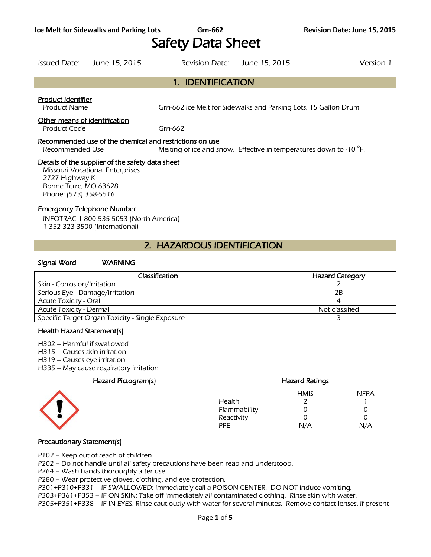# Safety Data Sheet

1. IDENTIFICATION

## Issued Date: June 15, 2015 Revision Date: June 15, 2015 Version 1

## Product Identifier

Product Name **Gram-662** Ice Melt for Sidewalks and Parking Lots, 15 Gallon Drum

## Other means of identification

Product Code Grn-662

## Recommended use of the chemical and restrictions on use

Recommended Use Melting of ice and snow. Effective in temperatures down to -10 $\degree$ F.

## Details of the supplier of the safety data sheet

Missouri Vocational Enterprises 2727 Highway K Bonne Terre, MO 63628 Phone: (573) 358-5516

## Emergency Telephone Number

INFOTRAC 1-800-535-5053 (North America) 1-352-323-3500 (International)

# 2. HAZARDOUS IDENTIFICATION

## Signal Word WARNING

| Classification                                   | <b>Hazard Category</b> |
|--------------------------------------------------|------------------------|
| Skin - Corrosion/Irritation                      |                        |
| Serious Eye - Damage/Irritation                  | 2B                     |
| <b>Acute Toxicity - Oral</b>                     |                        |
| <b>Acute Toxicity - Dermal</b>                   | Not classified         |
| Specific Target Organ Toxicity - Single Exposure |                        |
|                                                  |                        |

### Health Hazard Statement(s)

H302 – Harmful if swallowed

- H315 Causes skin irritation
- H319 Causes eye irritation
- H335 May cause respiratory irritation

## Hazard Pictogram(s) Hazard Ratings



# HMIS NFPA Health 2 1

| Flammability | $\mathcal{L}$     |     |
|--------------|-------------------|-----|
| Reactivity   | $\mathbf{\Omega}$ |     |
| PPE.         | N/A               | N/A |

## Precautionary Statement(s)

P102 – Keep out of reach of children.

P202 – Do not handle until all safety precautions have been read and understood.

P264 – Wash hands thoroughly after use.

P280 – Wear protective gloves, clothing, and eye protection.

P301+P310+P331 – IF SWALLOWED: Immediately call a POISON CENTER. DO NOT induce vomiting.

P303+P361+P353 – IF ON SKIN: Take off immediately all contaminated clothing. Rinse skin with water.

P305+P351+P338 – IF IN EYES: Rinse cautiously with water for several minutes. Remove contact lenses, if present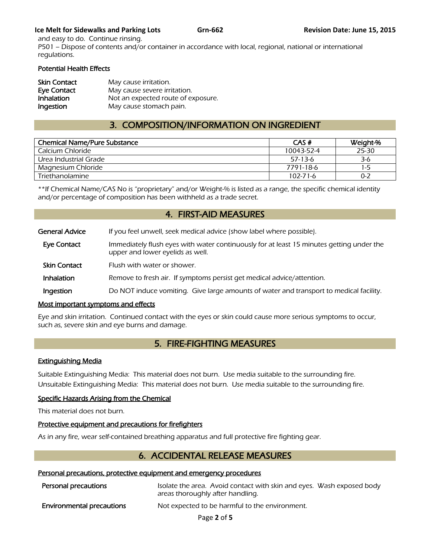## **Ice Melt for Sidewalks and Parking Lots Grn-662 Grn-662 Revision Date: June 15, 2015**

and easy to do. Continue rinsing. P501 – Dispose of contents and/or container in accordance with local, regional, national or international regulations.

## Potential Health Effects

| <b>Skin Contact</b> | May cause irritation.              |
|---------------------|------------------------------------|
| Eye Contact         | May cause severe irritation.       |
| Inhalation          | Not an expected route of exposure. |
| Ingestion           | May cause stomach pain.            |

# 3. COMPOSITION/INFORMATION ON INGREDIENT

| <b>Chemical Name/Pure Substance</b> | CAS#           | Weight-% |
|-------------------------------------|----------------|----------|
| Calcium Chloride                    | 10043-52-4     | 25-30    |
| Urea Industrial Grade               | $57-13-6$      | 3-6      |
| Magnesium Chloride                  | 7791-18-6      | 1-5      |
| Triethanolamine                     | $102 - 71 - 6$ | $0 - 2$  |
|                                     |                |          |

\*\*If Chemical Name/CAS No is "proprietary" and/or Weight-% is listed as a range, the specific chemical identity and/or percentage of composition has been withheld as a trade secret.

## 4. FIRST-AID MEASURES

| <b>General Advice</b> | If you feel unwell, seek medical advice (show label where possible).                                                         |
|-----------------------|------------------------------------------------------------------------------------------------------------------------------|
| Eye Contact           | Immediately flush eyes with water continuously for at least 15 minutes getting under the<br>upper and lower eyelids as well. |
| <b>Skin Contact</b>   | Flush with water or shower.                                                                                                  |
| Inhalation            | Remove to fresh air. If symptoms persist get medical advice/attention.                                                       |
| Ingestion             | Do NOT induce vomiting. Give large amounts of water and transport to medical facility.                                       |

## Most important symptoms and effects

Eye and skin irritation. Continued contact with the eyes or skin could cause more serious symptoms to occur, such as, severe skin and eye burns and damage.

## 5. FIRE-FIGHTING MEASURES

## Extinguishing Media

Suitable Extinguishing Media: This material does not burn. Use media suitable to the surrounding fire. Unsuitable Extinguishing Media: This material does not burn. Use media suitable to the surrounding fire.

## Specific Hazards Arising from the Chemical

This material does not burn.

## Protective equipment and precautions for firefighters

As in any fire, wear self-contained breathing apparatus and full protective fire fighting gear.

# 6. ACCIDENTAL RELEASE MEASURES

## Personal precautions, protective equipment and emergency procedures

| Personal precautions             | Isolate the area. Avoid contact with skin and eyes. Wash exposed body<br>areas thoroughly after handling. |  |
|----------------------------------|-----------------------------------------------------------------------------------------------------------|--|
| <b>Environmental precautions</b> | Not expected to be harmful to the environment.                                                            |  |

Page **2** of **5**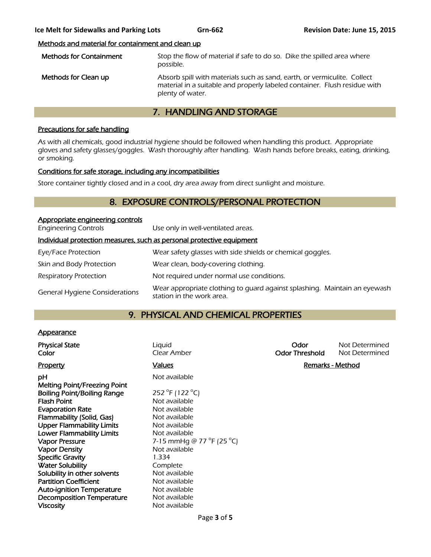## Methods and material for containment and clean up

| <b>Methods for Containment</b> | Stop the flow of material if safe to do so. Dike the spilled area where<br>possible.                                                                                      |
|--------------------------------|---------------------------------------------------------------------------------------------------------------------------------------------------------------------------|
| Methods for Clean up           | Absorb spill with materials such as sand, earth, or vermiculite. Collect<br>material in a suitable and properly labeled container. Flush residue with<br>plenty of water. |

# 7. HANDLING AND STORAGE

## Precautions for safe handling

As with all chemicals, good industrial hygiene should be followed when handling this product. Appropriate gloves and safety glasses/goggles. Wash thoroughly after handling. Wash hands before breaks, eating, drinking, or smoking.

## Conditions for safe storage, including any incompatibilities

Store container tightly closed and in a cool, dry area away from direct sunlight and moisture.

# 8. EXPOSURE CONTROLS/PERSONAL PROTECTION

| Appropriate engineering controls      |                                                                                                        |
|---------------------------------------|--------------------------------------------------------------------------------------------------------|
| <b>Engineering Controls</b>           | Use only in well-ventilated areas.                                                                     |
|                                       | Individual protection measures, such as personal protective equipment                                  |
| Eye/Face Protection                   | Wear safety glasses with side shields or chemical goggles.                                             |
| Skin and Body Protection              | Wear clean, body-covering clothing.                                                                    |
| <b>Respiratory Protection</b>         | Not required under normal use conditions.                                                              |
| <b>General Hygiene Considerations</b> | Wear appropriate clothing to quard against splashing. Maintain an eyewash<br>station in the work area. |

# 9. PHYSICAL AND CHEMICAL PROPERTIES

## **Appearance**

| <b>Physical State</b><br>Color                                     | Liquid<br>Clear Amber                         | Odor<br><b>Odor Threshold</b> | Not Determined<br>Not Determined |
|--------------------------------------------------------------------|-----------------------------------------------|-------------------------------|----------------------------------|
| <b>Property</b>                                                    | <b>Values</b>                                 | <b>Remarks - Method</b>       |                                  |
| рH                                                                 | Not available                                 |                               |                                  |
| Melting Point/Freezing Point<br><b>Boiling Point/Boiling Range</b> | 252 °F (122 °C)                               |                               |                                  |
| <b>Flash Point</b>                                                 | Not available                                 |                               |                                  |
| <b>Evaporation Rate</b>                                            | Not available                                 |                               |                                  |
| Flammability (Solid, Gas)                                          | Not available                                 |                               |                                  |
| <b>Upper Flammability Limits</b>                                   | Not available                                 |                               |                                  |
| <b>Lower Flammability Limits</b>                                   | Not available                                 |                               |                                  |
| <b>Vapor Pressure</b>                                              | 7-15 mmHg @ 77 $^{\circ}$ F (25 $^{\circ}$ C) |                               |                                  |
| <b>Vapor Density</b>                                               | Not available                                 |                               |                                  |
| <b>Specific Gravity</b>                                            | 1.334                                         |                               |                                  |
| <b>Water Solubility</b>                                            | Complete                                      |                               |                                  |
| Solubility in other solvents                                       | Not available                                 |                               |                                  |
| <b>Partition Coefficient</b>                                       | Not available                                 |                               |                                  |
| <b>Auto-ignition Temperature</b>                                   | Not available                                 |                               |                                  |
| <b>Decomposition Temperature</b>                                   | Not available                                 |                               |                                  |
| <b>Viscosity</b>                                                   | Not available                                 |                               |                                  |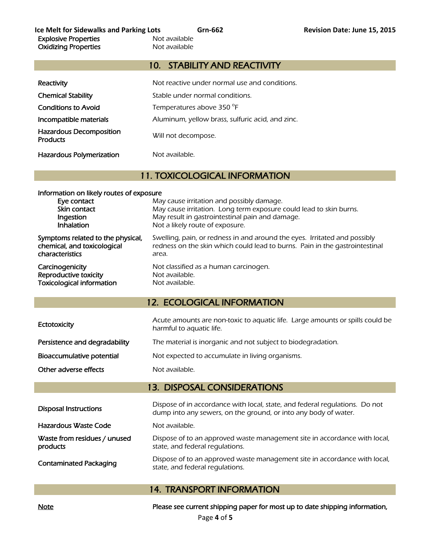# 10. STABILITY AND REACTIVITY

| Reactivity                                        | Not reactive under normal use and conditions.    |
|---------------------------------------------------|--------------------------------------------------|
| <b>Chemical Stability</b>                         | Stable under normal conditions.                  |
| <b>Conditions to Avoid</b>                        | Temperatures above 350 °F                        |
| Incompatible materials                            | Aluminum, yellow brass, sulfuric acid, and zinc. |
| <b>Hazardous Decomposition</b><br><b>Products</b> | Will not decompose.                              |
| <b>Hazardous Polymerization</b>                   | Not available.                                   |

# 11. TOXICOLOGICAL INFORMATION

| Information on likely routes of exposure |                                                                             |  |
|------------------------------------------|-----------------------------------------------------------------------------|--|
| Eye contact                              | May cause irritation and possibly damage.                                   |  |
| Skin contact                             | May cause irritation. Long term exposure could lead to skin burns.          |  |
| Ingestion                                | May result in gastrointestinal pain and damage.                             |  |
| Inhalation                               | Not a likely route of exposure.                                             |  |
| Symptoms related to the physical,        | Swelling, pain, or redness in and around the eyes. Irritated and possibly   |  |
| chemical, and toxicological              | redness on the skin which could lead to burns. Pain in the gastrointestinal |  |
| characteristics                          | area.                                                                       |  |
| Carcinogenicity                          | Not classified as a human carcinogen.                                       |  |
| Reproductive toxicity                    | Not available.                                                              |  |
| <b>Toxicological information</b>         | Not available.                                                              |  |

# 12. ECOLOGICAL INFORMATION

| Ectotoxicity                  | Acute amounts are non-toxic to aquatic life. Large amounts or spills could be<br>harmful to aquatic life. |
|-------------------------------|-----------------------------------------------------------------------------------------------------------|
| Persistence and degradability | The material is inorganic and not subject to biodegradation.                                              |
| Bioaccumulative potential     | Not expected to accumulate in living organisms.                                                           |
| Other adverse effects         | Not available.                                                                                            |

# 13. DISPOSAL CONSIDERATIONS

| <b>Disposal Instructions</b>             | Dispose of in accordance with local, state, and federal regulations. Do not<br>dump into any sewers, on the ground, or into any body of water. |  |
|------------------------------------------|------------------------------------------------------------------------------------------------------------------------------------------------|--|
| Hazardous Waste Code                     | Not available.                                                                                                                                 |  |
| Waste from residues / unused<br>products | Dispose of to an approved waste management site in accordance with local,<br>state, and federal regulations.                                   |  |
| <b>Contaminated Packaging</b>            | Dispose of to an approved waste management site in accordance with local,<br>state, and federal regulations.                                   |  |

## 14. TRANSPORT INFORMATION

Note Note **Please see current shipping paper for most up to date shipping information**,